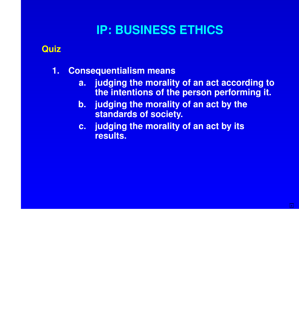## **IP: BUSINESS ETHICS**

## **Quiz**

- **1. Consequentialism means**
	- **a. judging the morality of an act according to the intentions of the person performing it.**

**>**

- **b. judging the morality of an act by the standards of society.**
- **c. judging the morality of an act by its results.**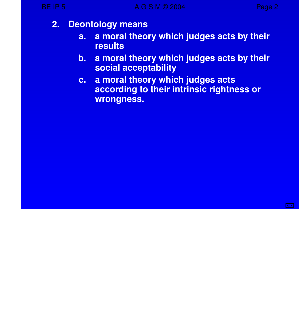- **2. Deontology means**
	- **a. a moral theory which judg es acts by their results**
	- **b.** a moral theory which judges acts by their **social acceptability**
	- **c.** a moral theory which judges acts **according to their intrinsic rightness or wrongness.**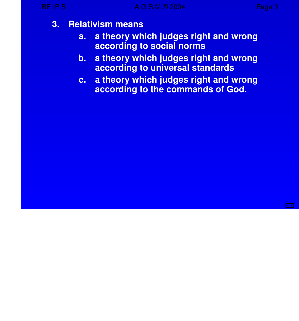- **3. Relativism means**
	- **a.** a theory which judges right and wrong **according to social norms**
	- **b.** a theory which judges right and wrong **according to universal standards**
	- **c.** a **theory** which judges right and wrong **according to the commands of God.**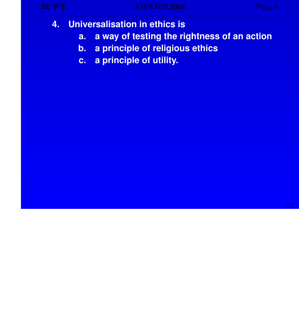- **4. Universalisation in ethics is**
	- **a. a way of testing the rightness of an action**
	- **b. a principle of religious ethics**
	- **c. a principle of utility.**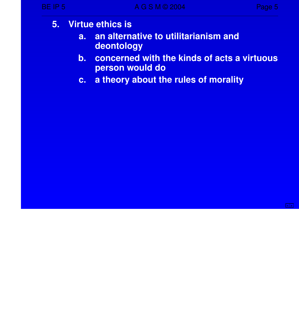## **5. Virtue ethics is**

- **a. an alternative to utilitarianism and deontology**
- **b. concerned with the kinds of acts a virtuous person would do**
- **c.** a theory about the rules of morality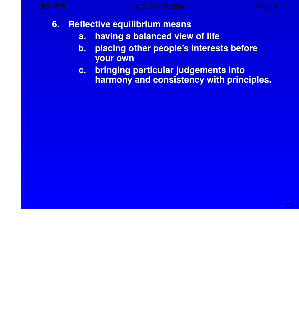- **6. Reflective equilibrium means**
	- **a. having a balanced view of life**
	- **b. placing other people's interests before your own**
	- **c. bringing par ticular judg ements into harmony and consistency with principles.**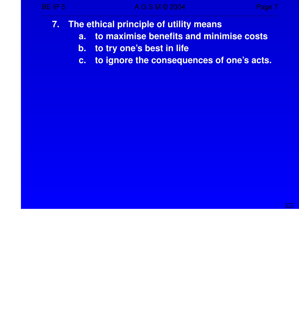- **7. The ethical principle of utility means**
	- **a. to maximise benefits and minimise costs**
	- **b.** to try one's best in life
	- **c. to ignore the consequences of one's acts.**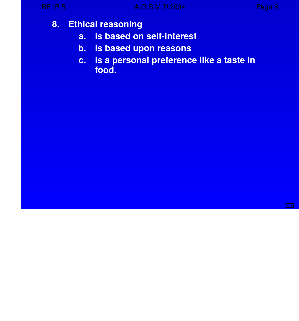- **8. Ethical reasoning**
	- **a. is based on self-interest**
	- **b. is based upon reasons**
	- **c. is a personal preference like a taste in food.**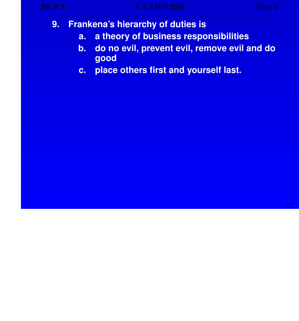- **9. Frankena's hierarchy of duties is**
	- **a.** a theory of business responsibilities
	- **b. do no evil, prevent evil, remove evil and do good**
	- **c. place others first and yourself last.**